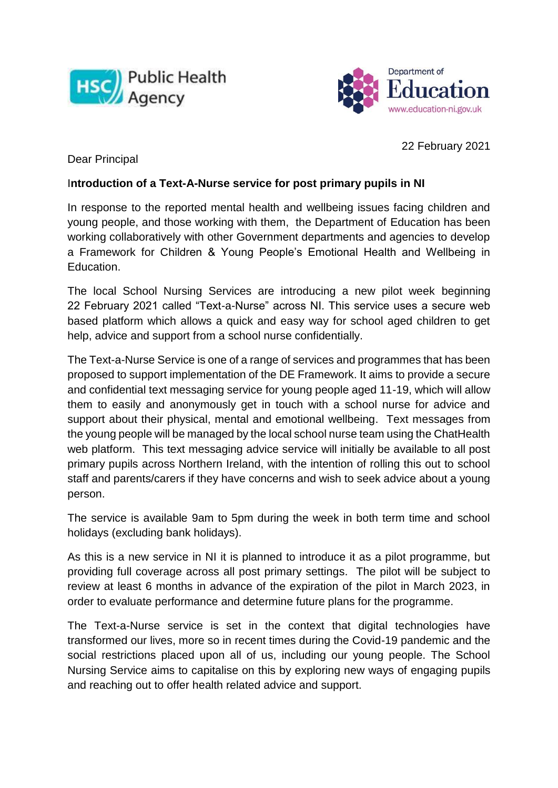



22 February 2021

Dear Principal

## I**ntroduction of a Text-A-Nurse service for post primary pupils in NI**

In response to the reported mental health and wellbeing issues facing children and young people, and those working with them, the Department of Education has been working collaboratively with other Government departments and agencies to develop a Framework for Children & Young People's Emotional Health and Wellbeing in Education.

The local School Nursing Services are introducing a new pilot week beginning 22 February 2021 called "Text-a-Nurse" across NI. This service uses a secure web based platform which allows a quick and easy way for school aged children to get help, advice and support from a school nurse confidentially.

The Text-a-Nurse Service is one of a range of services and programmes that has been proposed to support implementation of the DE Framework. It aims to provide a secure and confidential text messaging service for young people aged 11-19, which will allow them to easily and anonymously get in touch with a school nurse for advice and support about their physical, mental and emotional wellbeing. Text messages from the young people will be managed by the local school nurse team using the ChatHealth web platform. This text messaging advice service will initially be available to all post primary pupils across Northern Ireland, with the intention of rolling this out to school staff and parents/carers if they have concerns and wish to seek advice about a young person.

The service is available 9am to 5pm during the week in both term time and school holidays (excluding bank holidays).

As this is a new service in NI it is planned to introduce it as a pilot programme, but providing full coverage across all post primary settings. The pilot will be subject to review at least 6 months in advance of the expiration of the pilot in March 2023, in order to evaluate performance and determine future plans for the programme.

The Text-a-Nurse service is set in the context that digital technologies have transformed our lives, more so in recent times during the Covid-19 pandemic and the social restrictions placed upon all of us, including our young people. The School Nursing Service aims to capitalise on this by exploring new ways of engaging pupils and reaching out to offer health related advice and support.